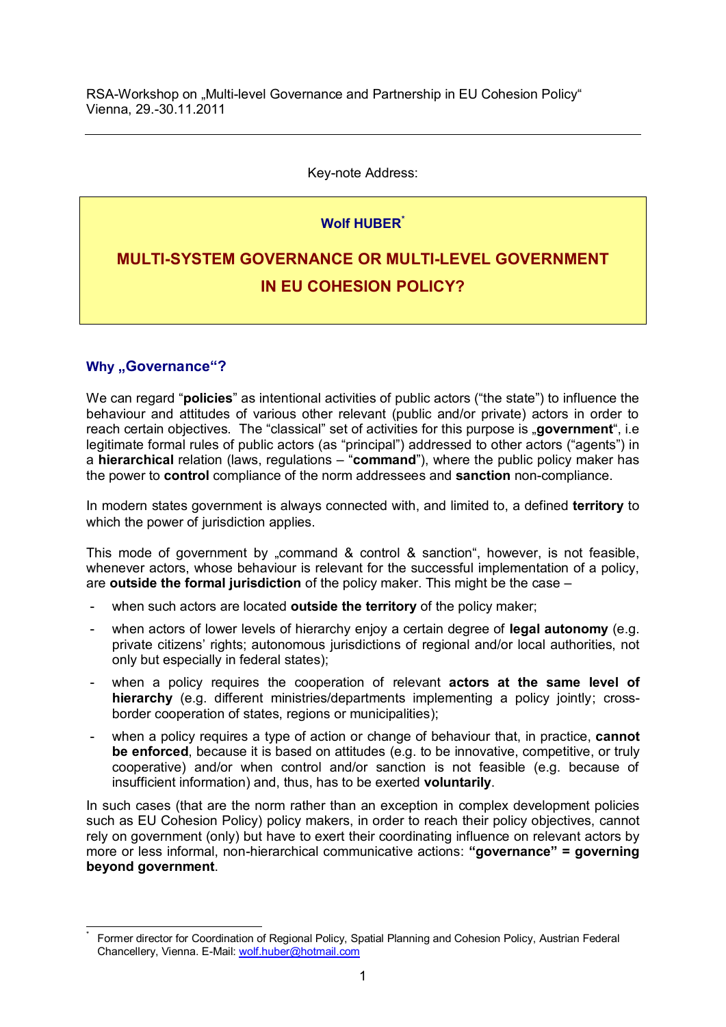RSA-Workshop on "Multi-level Governance and Partnership in EU Cohesion Policy" Vienna, 29.-30.11.2011

### Key-note Address:

# **Wolf HUBER\***

# **MULTI-SYSTEM GOVERNANCE OR MULTI-LEVEL GOVERNMENT IN EU COHESION POLICY?**

# **Why "Governance"?**

 $\overline{1}$ \*

We can regard "**policies**" as intentional activities of public actors ("the state") to influence the behaviour and attitudes of various other relevant (public and/or private) actors in order to reach certain objectives. The "classical" set of activities for this purpose is "government", i.e legitimate formal rules of public actors (as "principal") addressed to other actors ("agents") in a **hierarchical** relation (laws, regulations – "**command**"), where the public policy maker has the power to **control** compliance of the norm addressees and **sanction** non-compliance.

In modern states government is always connected with, and limited to, a defined **territory** to which the power of jurisdiction applies.

This mode of government by "command & control & sanction", however, is not feasible, whenever actors, whose behaviour is relevant for the successful implementation of a policy, are **outside the formal jurisdiction** of the policy maker. This might be the case –

- when such actors are located **outside the territory** of the policy maker;
- when actors of lower levels of hierarchy enjoy a certain degree of **legal autonomy** (e.g. private citizens' rights; autonomous jurisdictions of regional and/or local authorities, not only but especially in federal states);
- when a policy requires the cooperation of relevant **actors at the same level of hierarchy** (e.g. different ministries/departments implementing a policy jointly; crossborder cooperation of states, regions or municipalities);
- when a policy requires a type of action or change of behaviour that, in practice, **cannot be enforced**, because it is based on attitudes (e.g. to be innovative, competitive, or truly cooperative) and/or when control and/or sanction is not feasible (e.g. because of insufficient information) and, thus, has to be exerted **voluntarily**.

In such cases (that are the norm rather than an exception in complex development policies such as EU Cohesion Policy) policy makers, in order to reach their policy objectives, cannot rely on government (only) but have to exert their coordinating influence on relevant actors by more or less informal, non-hierarchical communicative actions: **"governance" = governing beyond government**.

Former director for Coordination of Regional Policy, Spatial Planning and Cohesion Policy, Austrian Federal Chancellery, Vienna. E-Mail: [wolf.huber@hotmail.com](mailto:wolf.huber@hotmail.com)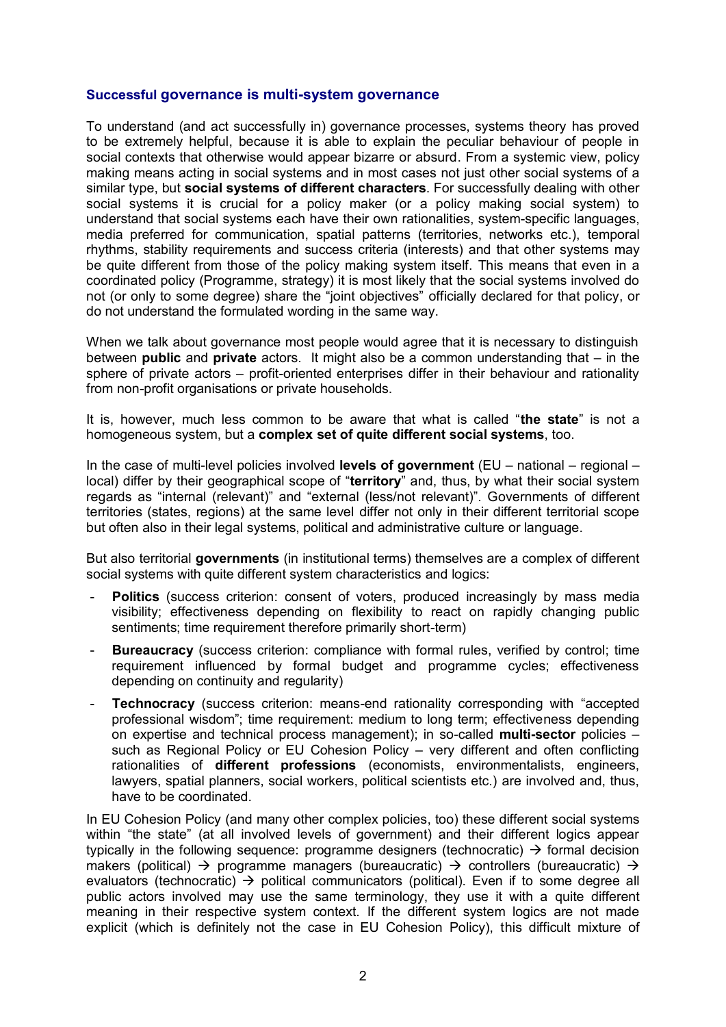### **Successful governance is multi-system governance**

To understand (and act successfully in) governance processes, systems theory has proved to be extremely helpful, because it is able to explain the peculiar behaviour of people in social contexts that otherwise would appear bizarre or absurd. From a systemic view, policy making means acting in social systems and in most cases not just other social systems of a similar type, but **social systems of different characters**. For successfully dealing with other social systems it is crucial for a policy maker (or a policy making social system) to understand that social systems each have their own rationalities, system-specific languages, media preferred for communication, spatial patterns (territories, networks etc.), temporal rhythms, stability requirements and success criteria (interests) and that other systems may be quite different from those of the policy making system itself. This means that even in a coordinated policy (Programme, strategy) it is most likely that the social systems involved do not (or only to some degree) share the "joint objectives" officially declared for that policy, or do not understand the formulated wording in the same way.

When we talk about governance most people would agree that it is necessary to distinguish between **public** and **private** actors. It might also be a common understanding that – in the sphere of private actors – profit-oriented enterprises differ in their behaviour and rationality from non-profit organisations or private households.

It is, however, much less common to be aware that what is called "**the state**" is not a homogeneous system, but a **complex set of quite different social systems**, too.

In the case of multi-level policies involved **levels of government** (EU – national – regional – local) differ by their geographical scope of "**territory**" and, thus, by what their social system regards as "internal (relevant)" and "external (less/not relevant)". Governments of different territories (states, regions) at the same level differ not only in their different territorial scope but often also in their legal systems, political and administrative culture or language.

But also territorial **governments** (in institutional terms) themselves are a complex of different social systems with quite different system characteristics and logics:

- Politics (success criterion: consent of voters, produced increasingly by mass media visibility; effectiveness depending on flexibility to react on rapidly changing public sentiments; time requirement therefore primarily short-term)
- **Bureaucracy** (success criterion: compliance with formal rules, verified by control: time requirement influenced by formal budget and programme cycles; effectiveness depending on continuity and regularity)
- **Technocracy** (success criterion: means-end rationality corresponding with "accepted professional wisdom"; time requirement: medium to long term; effectiveness depending on expertise and technical process management); in so-called **multi-sector** policies – such as Regional Policy or EU Cohesion Policy – very different and often conflicting rationalities of **different professions** (economists, environmentalists, engineers, lawyers, spatial planners, social workers, political scientists etc.) are involved and, thus, have to be coordinated.

In EU Cohesion Policy (and many other complex policies, too) these different social systems within "the state" (at all involved levels of government) and their different logics appear typically in the following sequence: programme designers (technocratic)  $\rightarrow$  formal decision makers (political)  $\rightarrow$  programme managers (bureaucratic)  $\rightarrow$  controllers (bureaucratic)  $\rightarrow$ evaluators (technocratic)  $\rightarrow$  political communicators (political). Even if to some degree all public actors involved may use the same terminology, they use it with a quite different meaning in their respective system context. If the different system logics are not made explicit (which is definitely not the case in EU Cohesion Policy), this difficult mixture of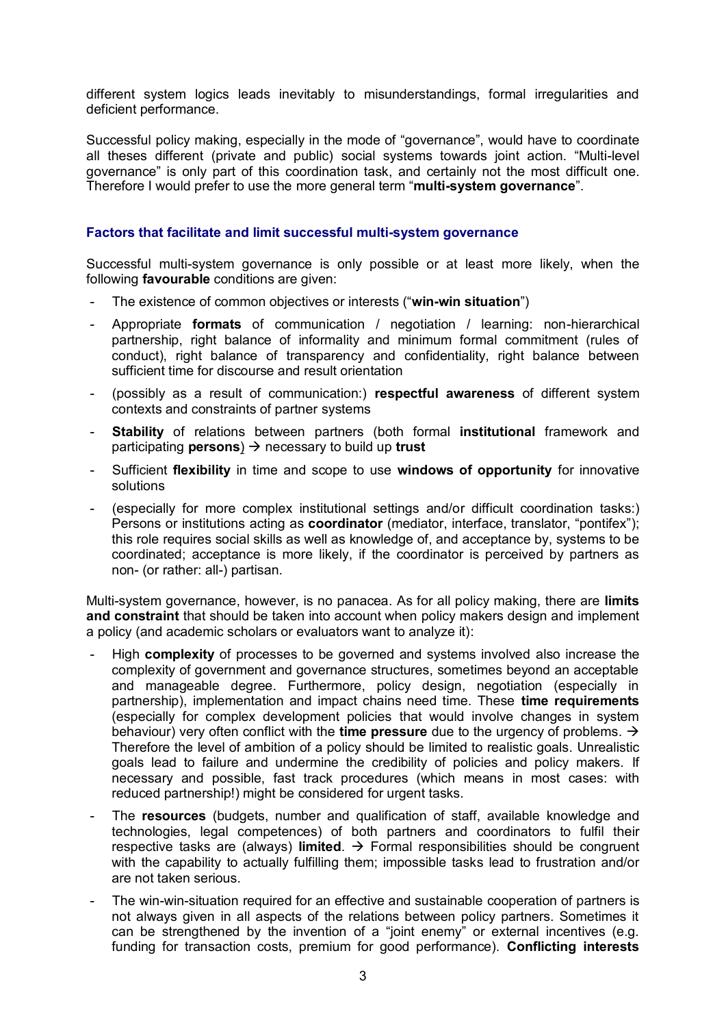different system logics leads inevitably to misunderstandings, formal irregularities and deficient performance.

Successful policy making, especially in the mode of "governance", would have to coordinate all theses different (private and public) social systems towards joint action. "Multi-level governance" is only part of this coordination task, and certainly not the most difficult one. Therefore I would prefer to use the more general term "**multi-system governance**".

### **Factors that facilitate and limit successful multi-system governance**

Successful multi-system governance is only possible or at least more likely, when the following **favourable** conditions are given:

- The existence of common objectives or interests ("**win-win situation**")
- Appropriate **formats** of communication / negotiation / learning: non-hierarchical partnership, right balance of informality and minimum formal commitment (rules of conduct), right balance of transparency and confidentiality, right balance between sufficient time for discourse and result orientation
- (possibly as a result of communication:) **respectful awareness** of different system contexts and constraints of partner systems
- **Stability** of relations between partners (both formal **institutional** framework and participating **persons**)  $\rightarrow$  necessary to build up **trust**
- Sufficient **flexibility** in time and scope to use **windows of opportunity** for innovative solutions
- (especially for more complex institutional settings and/or difficult coordination tasks:) Persons or institutions acting as **coordinator** (mediator, interface, translator, "pontifex"); this role requires social skills as well as knowledge of, and acceptance by, systems to be coordinated; acceptance is more likely, if the coordinator is perceived by partners as non- (or rather: all-) partisan.

Multi-system governance, however, is no panacea. As for all policy making, there are **limits and constraint** that should be taken into account when policy makers design and implement a policy (and academic scholars or evaluators want to analyze it):

- High **complexity** of processes to be governed and systems involved also increase the complexity of government and governance structures, sometimes beyond an acceptable and manageable degree. Furthermore, policy design, negotiation (especially in partnership), implementation and impact chains need time. These **time requirements**  (especially for complex development policies that would involve changes in system behaviour) very often conflict with the **time pressure** due to the urgency of problems. Therefore the level of ambition of a policy should be limited to realistic goals. Unrealistic goals lead to failure and undermine the credibility of policies and policy makers. If necessary and possible, fast track procedures (which means in most cases: with reduced partnership!) might be considered for urgent tasks.
- The **resources** (budgets, number and qualification of staff, available knowledge and technologies, legal competences) of both partners and coordinators to fulfil their respective tasks are (always) **limited**.  $\rightarrow$  Formal responsibilities should be congruent with the capability to actually fulfilling them; impossible tasks lead to frustration and/or are not taken serious.
- The win-win-situation required for an effective and sustainable cooperation of partners is not always given in all aspects of the relations between policy partners. Sometimes it can be strengthened by the invention of a "joint enemy" or external incentives (e.g. funding for transaction costs, premium for good performance). **Conflicting interests**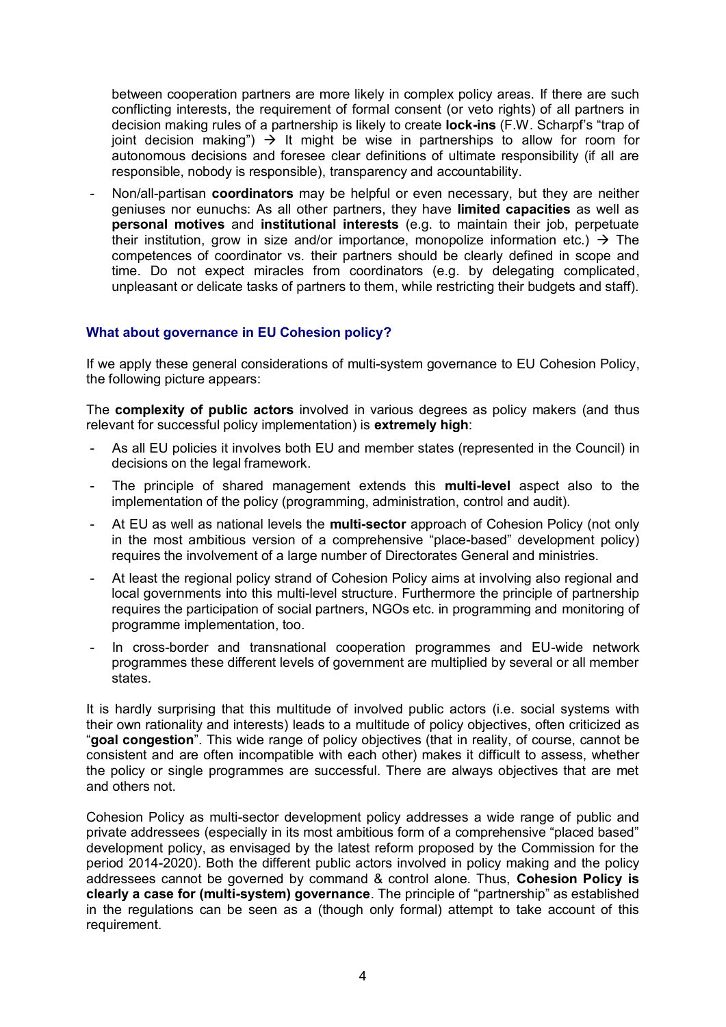between cooperation partners are more likely in complex policy areas. If there are such conflicting interests, the requirement of formal consent (or veto rights) of all partners in decision making rules of a partnership is likely to create **lock-ins** (F.W. Scharpf's "trap of joint decision making")  $\rightarrow$  It might be wise in partnerships to allow for room for autonomous decisions and foresee clear definitions of ultimate responsibility (if all are responsible, nobody is responsible), transparency and accountability.

- Non/all-partisan **coordinators** may be helpful or even necessary, but they are neither geniuses nor eunuchs: As all other partners, they have **limited capacities** as well as **personal motives** and **institutional interests** (e.g. to maintain their job, perpetuate their institution, grow in size and/or importance, monopolize information etc.)  $\rightarrow$  The competences of coordinator vs. their partners should be clearly defined in scope and time. Do not expect miracles from coordinators (e.g. by delegating complicated, unpleasant or delicate tasks of partners to them, while restricting their budgets and staff).

# **What about governance in EU Cohesion policy?**

If we apply these general considerations of multi-system governance to EU Cohesion Policy, the following picture appears:

The **complexity of public actors** involved in various degrees as policy makers (and thus relevant for successful policy implementation) is **extremely high**:

- As all EU policies it involves both EU and member states (represented in the Council) in decisions on the legal framework.
- The principle of shared management extends this **multi-level** aspect also to the implementation of the policy (programming, administration, control and audit).
- At EU as well as national levels the **multi-sector** approach of Cohesion Policy (not only in the most ambitious version of a comprehensive "place-based" development policy) requires the involvement of a large number of Directorates General and ministries.
- At least the regional policy strand of Cohesion Policy aims at involving also regional and local governments into this multi-level structure. Furthermore the principle of partnership requires the participation of social partners, NGOs etc. in programming and monitoring of programme implementation, too.
- In cross-border and transnational cooperation programmes and EU-wide network programmes these different levels of government are multiplied by several or all member states.

It is hardly surprising that this multitude of involved public actors (i.e. social systems with their own rationality and interests) leads to a multitude of policy objectives, often criticized as "**goal congestion**". This wide range of policy objectives (that in reality, of course, cannot be consistent and are often incompatible with each other) makes it difficult to assess, whether the policy or single programmes are successful. There are always objectives that are met and others not.

Cohesion Policy as multi-sector development policy addresses a wide range of public and private addressees (especially in its most ambitious form of a comprehensive "placed based" development policy, as envisaged by the latest reform proposed by the Commission for the period 2014-2020). Both the different public actors involved in policy making and the policy addressees cannot be governed by command & control alone. Thus, **Cohesion Policy is clearly a case for (multi-system) governance**. The principle of "partnership" as established in the regulations can be seen as a (though only formal) attempt to take account of this requirement.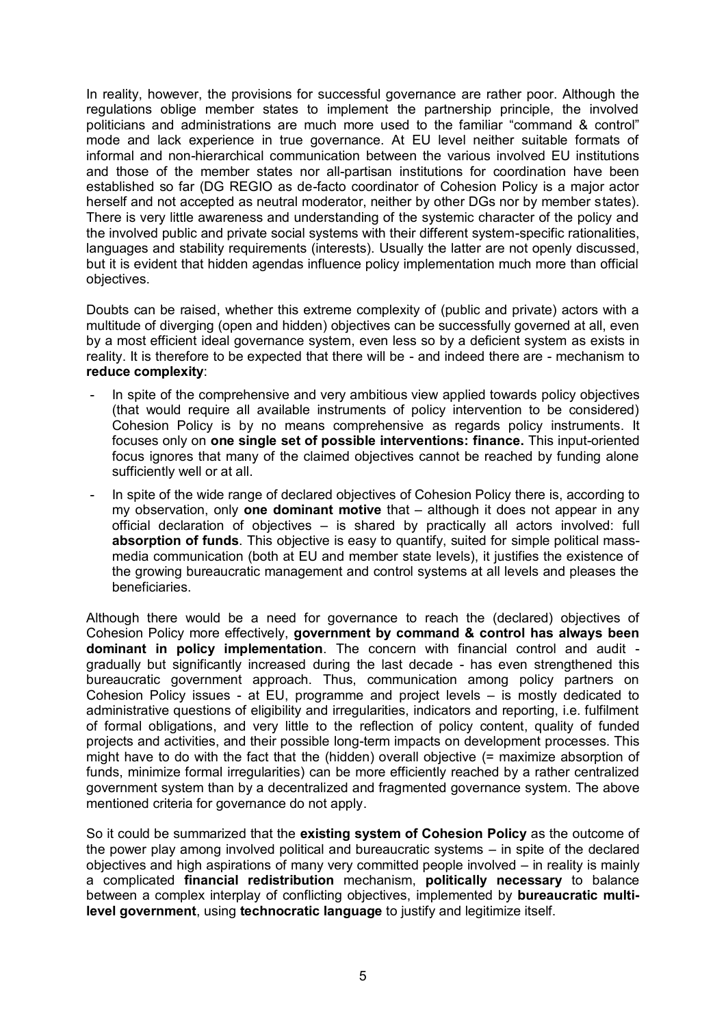In reality, however, the provisions for successful governance are rather poor. Although the regulations oblige member states to implement the partnership principle, the involved politicians and administrations are much more used to the familiar "command & control" mode and lack experience in true governance. At EU level neither suitable formats of informal and non-hierarchical communication between the various involved EU institutions and those of the member states nor all-partisan institutions for coordination have been established so far (DG REGIO as de-facto coordinator of Cohesion Policy is a major actor herself and not accepted as neutral moderator, neither by other DGs nor by member states). There is very little awareness and understanding of the systemic character of the policy and the involved public and private social systems with their different system-specific rationalities, languages and stability requirements (interests). Usually the latter are not openly discussed, but it is evident that hidden agendas influence policy implementation much more than official objectives.

Doubts can be raised, whether this extreme complexity of (public and private) actors with a multitude of diverging (open and hidden) objectives can be successfully governed at all, even by a most efficient ideal governance system, even less so by a deficient system as exists in reality. It is therefore to be expected that there will be - and indeed there are - mechanism to **reduce complexity**:

- In spite of the comprehensive and very ambitious view applied towards policy objectives (that would require all available instruments of policy intervention to be considered) Cohesion Policy is by no means comprehensive as regards policy instruments. It focuses only on **one single set of possible interventions: finance.** This input-oriented focus ignores that many of the claimed objectives cannot be reached by funding alone sufficiently well or at all.
- In spite of the wide range of declared objectives of Cohesion Policy there is, according to my observation, only **one dominant motive** that – although it does not appear in any official declaration of objectives – is shared by practically all actors involved: full **absorption of funds**. This objective is easy to quantify, suited for simple political massmedia communication (both at EU and member state levels), it justifies the existence of the growing bureaucratic management and control systems at all levels and pleases the beneficiaries.

Although there would be a need for governance to reach the (declared) objectives of Cohesion Policy more effectively, **government by command & control has always been dominant in policy implementation**. The concern with financial control and audit gradually but significantly increased during the last decade - has even strengthened this bureaucratic government approach. Thus, communication among policy partners on Cohesion Policy issues - at EU, programme and project levels – is mostly dedicated to administrative questions of eligibility and irregularities, indicators and reporting, i.e. fulfilment of formal obligations, and very little to the reflection of policy content, quality of funded projects and activities, and their possible long-term impacts on development processes. This might have to do with the fact that the (hidden) overall objective (= maximize absorption of funds, minimize formal irregularities) can be more efficiently reached by a rather centralized government system than by a decentralized and fragmented governance system. The above mentioned criteria for governance do not apply.

So it could be summarized that the **existing system of Cohesion Policy** as the outcome of the power play among involved political and bureaucratic systems – in spite of the declared objectives and high aspirations of many very committed people involved – in reality is mainly a complicated **financial redistribution** mechanism, **politically necessary** to balance between a complex interplay of conflicting objectives, implemented by **bureaucratic multilevel government**, using **technocratic language** to justify and legitimize itself.